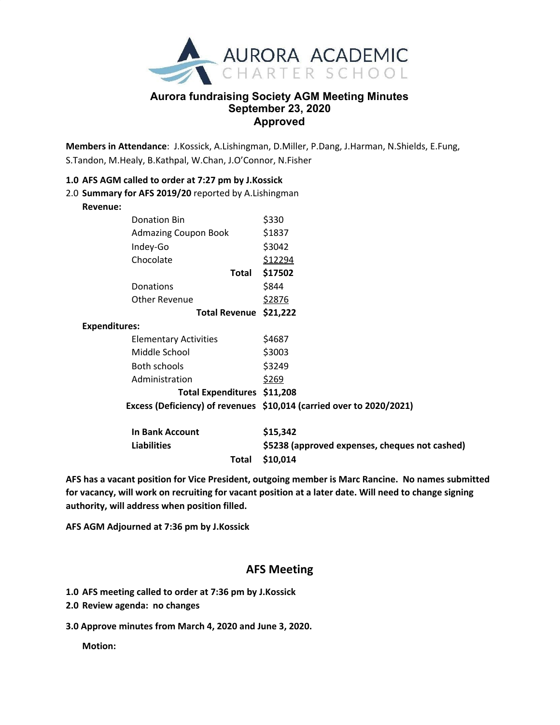

## **Aurora fundraising Society AGM Meeting Minutes September 23, 2020 Approved**

**Members in Attendance**: J.Kossick, A.Lishingman, D.Miller, P.Dang, J.Harman, N.Shields, E.Fung, S.Tandon, M.Healy, B.Kathpal, W.Chan, J.O'Connor, N.Fisher

## **1.0 AFS AGM called to order at 7:27 pm by J.Kossick**

2.0 **Summary for AFS 2019/20** reported by A.Lishingman **Revenue:** Donation Bin \$330 Admazing Coupon Book \$1837 Indey-Go \$3042 Chocolate \$12294 **Total \$17502** Donations \$844 Other Revenue \$2876 **Total Revenue \$21,222 Expenditures:** Elementary Activities \$4687 Middle School \$3003 Both schools \$3249 Administration \$269 **Total Expenditures \$11,208 Excess (Deficiency) of revenues \$10,014 (carried over to 2020/2021) In Bank Account \$15,342 Liabilities \$5238 (approved expenses, cheques not cashed) Total \$10,014**

**AFS has a vacant position for Vice President, outgoing member is Marc Rancine. No names submitted** for vacancy, will work on recruiting for vacant position at a later date. Will need to change signing **authority, will address when position filled.**

**AFS AGM Adjourned at 7:36 pm by J.Kossick**

## **AFS Meeting**

**1.0 AFS meeting called to order at 7:36 pm by J.Kossick**

- **2.0 Review agenda: no changes**
- **3.0 Approve minutes from March 4, 2020 and June 3, 2020.**

**Motion:**